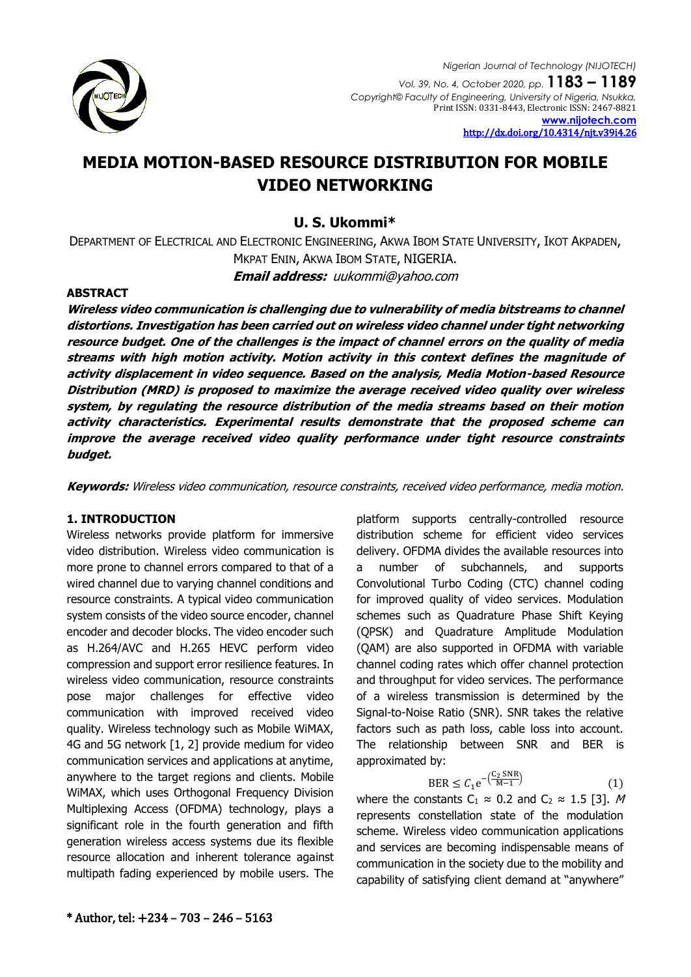

<http://dx.doi.org/10.4314/njt.v39i4.26>

# **MEDIA MOTION-BASED RESOURCE DISTRIBUTION FOR MOBILE VIDEO NETWORKING**

## **U. S. Ukommi\***

DEPARTMENT OF ELECTRICAL AND ELECTRONIC ENGINEERING, AKWA IBOM STATE UNIVERSITY, IKOT AKPADEN, MKPAT ENIN, AKWA IBOM STATE, NIGERIA.

**Email address:** [uukommi@yahoo.com](mailto:uukommi@yahoo.com)

## **ABSTRACT**

**Wireless video communication is challenging due to vulnerability of media bitstreams to channel distortions. Investigation has been carried out on wireless video channel under tight networking resource budget. One of the challenges is the impact of channel errors on the quality of media streams with high motion activity. Motion activity in this context defines the magnitude of activity displacement in video sequence. Based on the analysis, Media Motion-based Resource Distribution (MRD) is proposed to maximize the average received video quality over wireless system, by regulating the resource distribution of the media streams based on their motion activity characteristics. Experimental results demonstrate that the proposed scheme can improve the average received video quality performance under tight resource constraints budget.**

**Keywords:** Wireless video communication, resource constraints, received video performance, media motion.

## **1. INTRODUCTION**

Wireless networks provide platform for immersive video distribution. Wireless video communication is more prone to channel errors compared to that of a wired channel due to varying channel conditions and resource constraints. A typical video communication system consists of the video source encoder, channel encoder and decoder blocks. The video encoder such as H.264/AVC and H.265 HEVC perform video compression and support error resilience features. In wireless video communication, resource constraints pose major challenges for effective video communication with improved received video quality. Wireless technology such as Mobile WiMAX, 4G and 5G network [1, 2] provide medium for video communication services and applications at anytime, anywhere to the target regions and clients. Mobile WiMAX, which uses Orthogonal Frequency Division Multiplexing Access (OFDMA) technology, plays a significant role in the fourth generation and fifth generation wireless access systems due its flexible resource allocation and inherent tolerance against multipath fading experienced by mobile users. The

platform supports centrally-controlled resource distribution scheme for efficient video services delivery. OFDMA divides the available resources into a number of subchannels, and supports Convolutional Turbo Coding (CTC) channel coding for improved quality of video services. Modulation schemes such as Quadrature Phase Shift Keying (QPSK) and Quadrature Amplitude Modulation (QAM) are also supported in OFDMA with variable channel coding rates which offer channel protection and throughput for video services. The performance of a wireless transmission is determined by the Signal-to-Noise Ratio (SNR). SNR takes the relative factors such as path loss, cable loss into account. The relationship between SNR and BER is approximated by:

$$
BER \le C_1 e^{-\left(\frac{C_2 \text{SNR}}{M-1}\right)} \tag{1}
$$

where the constants C<sub>1</sub>  $\approx$  0.2 and C<sub>2</sub>  $\approx$  1.5 [3]. M represents constellation state of the modulation scheme. Wireless video communication applications and services are becoming indispensable means of communication in the society due to the mobility and capability of satisfying client demand at "anywhere"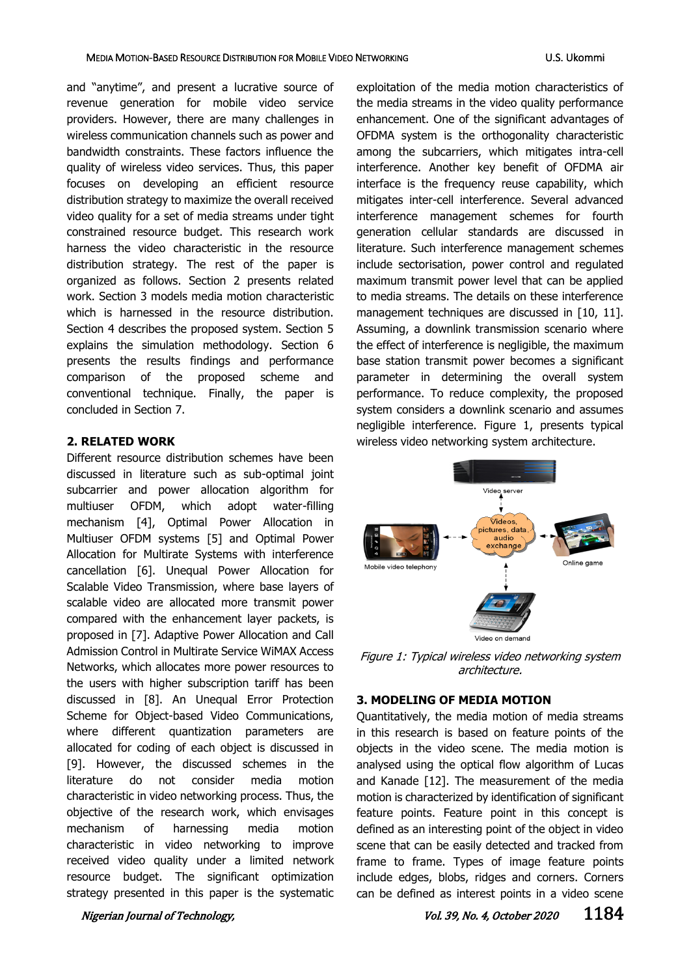#### MEDIA MOTION-BASED RESOURCE DISTRIBUTION FOR MOBILE VIDEO NETWORKING U.S. Ukommi

and "anytime", and present a lucrative source of revenue generation for mobile video service providers. However, there are many challenges in wireless communication channels such as power and bandwidth constraints. These factors influence the quality of wireless video services. Thus, this paper focuses on developing an efficient resource distribution strategy to maximize the overall received video quality for a set of media streams under tight constrained resource budget. This research work harness the video characteristic in the resource distribution strategy. The rest of the paper is organized as follows. Section 2 presents related work. Section 3 models media motion characteristic which is harnessed in the resource distribution. Section 4 describes the proposed system. Section 5 explains the simulation methodology. Section 6 presents the results findings and performance comparison of the proposed scheme and conventional technique. Finally, the paper is concluded in Section 7.

#### **2. RELATED WORK**

Different resource distribution schemes have been discussed in literature such as sub-optimal joint subcarrier and power allocation algorithm for multiuser OFDM, which adopt water-filling mechanism [\[4\]](#page-6-0), Optimal Power Allocation in Multiuser OFDM systems [\[5\]](#page-6-1) and Optimal Power Allocation for Multirate Systems with interference cancellation [\[6\]](#page-6-2). Unequal Power Allocation for Scalable Video Transmission, where base layers of scalable video are allocated more transmit power compared with the enhancement layer packets, is proposed in [\[7\]](#page-6-3). Adaptive Power Allocation and Call Admission Control in Multirate Service WiMAX Access Networks, which allocates more power resources to the users with higher subscription tariff has been discussed in [\[8\]](#page-6-4). An Unequal Error Protection Scheme for Object-based Video Communications, where different quantization parameters are allocated for coding of each object is discussed in [\[9\]](#page-6-5). However, the discussed schemes in the literature do not consider media motion characteristic in video networking process. Thus, the objective of the research work, which envisages mechanism of harnessing media motion characteristic in video networking to improve received video quality under a limited network resource budget. The significant optimization strategy presented in this paper is the systematic exploitation of the media motion characteristics of the media streams in the video quality performance enhancement. One of the significant advantages of OFDMA system is the orthogonality characteristic among the subcarriers, which mitigates intra-cell interference. Another key benefit of OFDMA air interface is the frequency reuse capability, which mitigates inter-cell interference. Several advanced interference management schemes for fourth generation cellular standards are discussed in literature. Such interference management schemes include sectorisation, power control and regulated maximum transmit power level that can be applied to media streams. The details on these interference management techniques are discussed in [\[10,](#page-6-6) 11]. Assuming, a downlink transmission scenario where the effect of interference is negligible, the maximum base station transmit power becomes a significant parameter in determining the overall system performance. To reduce complexity, the proposed system considers a downlink scenario and assumes negligible interference. Figure 1, presents typical wireless video networking system architecture.



Figure 1: Typical wireless video networking system architecture.

#### **3. MODELING OF MEDIA MOTION**

Quantitatively, the media motion of media streams in this research is based on feature points of the objects in the video scene. The media motion is analysed using the optical flow algorithm of Lucas and Kanade [\[12\]](#page-6-7). The measurement of the media motion is characterized by identification of significant feature points. Feature point in this concept is defined as an interesting point of the object in video scene that can be easily detected and tracked from frame to frame. Types of image feature points include edges, blobs, ridges and corners. Corners can be defined as interest points in a video scene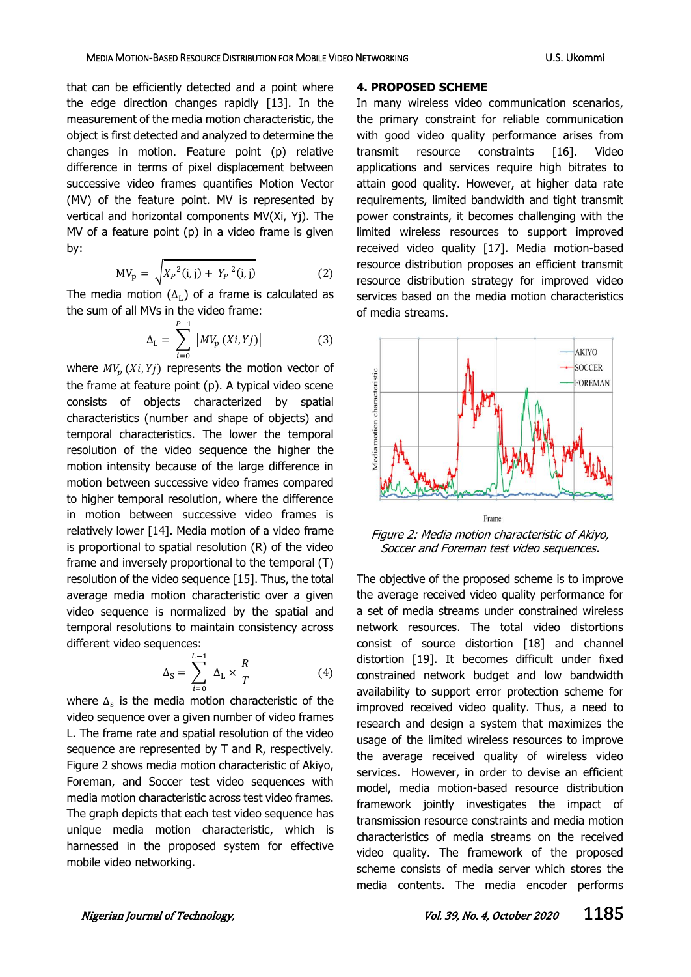that can be efficiently detected and a point where the edge direction changes rapidly [\[13\]](#page-6-8). In the measurement of the media motion characteristic, the object is first detected and analyzed to determine the changes in motion. Feature point (p) relative difference in terms of pixel displacement between successive video frames quantifies Motion Vector (MV) of the feature point. MV is represented by vertical and horizontal components MV(Xi, Yj). The MV of a feature point (p) in a video frame is given by:

$$
MV_p = \sqrt{X_p^2(i,j) + Y_p^2(i,j)}
$$
 (2)

The media motion ( $\Delta_L$ ) of a frame is calculated as the sum of all MVs in the video frame:

$$
\Delta_{\rm L} = \sum_{i=0}^{P-1} |MV_p(Xi, Yj)| \tag{3}
$$

where  $MV_p(X_i, Y_j)$  represents the motion vector of the frame at feature point (p). A typical video scene consists of objects characterized by spatial characteristics (number and shape of objects) and temporal characteristics. The lower the temporal resolution of the video sequence the higher the motion intensity because of the large difference in motion between successive video frames compared to higher temporal resolution, where the difference in motion between successive video frames is relatively lower [\[14\]](#page-6-9). Media motion of a video frame is proportional to spatial resolution (R) of the video frame and inversely proportional to the temporal (T) resolution of the video sequence [\[15\]](#page-6-10). Thus, the total average media motion characteristic over a given video sequence is normalized by the spatial and temporal resolutions to maintain consistency across different video sequences:

$$
\Delta_{\rm S} = \sum_{i=0}^{L-1} \Delta_{\rm L} \times \frac{R}{T} \tag{4}
$$

where  $\Delta_{\rm s}$  is the media motion characteristic of the video sequence over a given number of video frames L. The frame rate and spatial resolution of the video sequence are represented by T and R, respectively. Figure 2 shows media motion characteristic of Akiyo, Foreman, and Soccer test video sequences with media motion characteristic across test video frames. The graph depicts that each test video sequence has unique media motion characteristic, which is harnessed in the proposed system for effective mobile video networking.

#### **4. PROPOSED SCHEME**

In many wireless video communication scenarios, the primary constraint for reliable communication with good video quality performance arises from transmit resource constraints [\[16\]](#page-6-11). Video applications and services require high bitrates to attain good quality. However, at higher data rate requirements, limited bandwidth and tight transmit power constraints, it becomes challenging with the limited wireless resources to support improved received video quality [\[17\]](#page-6-12). Media motion-based resource distribution proposes an efficient transmit resource distribution strategy for improved video services based on the media motion characteristics of media streams.



Figure 2: Media motion characteristic of Akiyo, Soccer and Foreman test video sequences.

The objective of the proposed scheme is to improve the average received video quality performance for a set of media streams under constrained wireless network resources. The total video distortions consist of source distortion [\[18\]](#page-6-13) and channel distortion [\[19\]](#page-6-14). It becomes difficult under fixed constrained network budget and low bandwidth availability to support error protection scheme for improved received video quality. Thus, a need to research and design a system that maximizes the usage of the limited wireless resources to improve the average received quality of wireless video services. However, in order to devise an efficient model, media motion-based resource distribution framework jointly investigates the impact of transmission resource constraints and media motion characteristics of media streams on the received video quality. The framework of the proposed scheme consists of media server which stores the media contents. The media encoder performs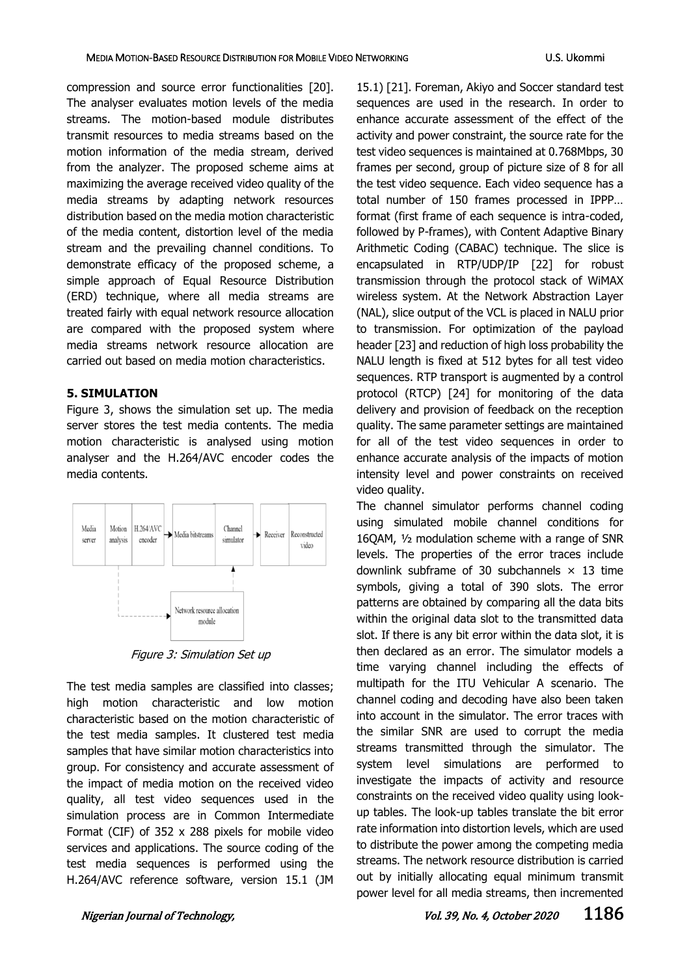compression and source error functionalities [\[20\]](#page-6-15). The analyser evaluates motion levels of the media streams. The motion-based module distributes transmit resources to media streams based on the motion information of the media stream, derived from the analyzer. The proposed scheme aims at maximizing the average received video quality of the media streams by adapting network resources distribution based on the media motion characteristic of the media content, distortion level of the media stream and the prevailing channel conditions. To demonstrate efficacy of the proposed scheme, a simple approach of Equal Resource Distribution (ERD) technique, where all media streams are treated fairly with equal network resource allocation are compared with the proposed system where media streams network resource allocation are carried out based on media motion characteristics.

## **5. SIMULATION**

Figure 3, shows the simulation set up. The media server stores the test media contents. The media motion characteristic is analysed using motion analyser and the H.264/AVC encoder codes the media contents.



Figure 3: Simulation Set up

The test media samples are classified into classes; high motion characteristic and low motion characteristic based on the motion characteristic of the test media samples. It clustered test media samples that have similar motion characteristics into group. For consistency and accurate assessment of the impact of media motion on the received video quality, all test video sequences used in the simulation process are in Common Intermediate Format (CIF) of 352 x 288 pixels for mobile video services and applications. The source coding of the test media sequences is performed using the H.264/AVC reference software, version 15.1 (JM

15.1) [21]. Foreman, Akiyo and Soccer standard test sequences are used in the research. In order to enhance accurate assessment of the effect of the activity and power constraint, the source rate for the test video sequences is maintained at 0.768Mbps, 30 frames per second, group of picture size of 8 for all the test video sequence. Each video sequence has a total number of 150 frames processed in IPPP… format (first frame of each sequence is intra-coded, followed by P-frames), with Content Adaptive Binary Arithmetic Coding (CABAC) technique. The slice is encapsulated in RTP/UDP/IP [22] for robust transmission through the protocol stack of WiMAX wireless system. At the Network Abstraction Layer (NAL), slice output of the VCL is placed in NALU prior to transmission. For optimization of the payload header [23] and reduction of high loss probability the NALU length is fixed at 512 bytes for all test video sequences. RTP transport is augmented by a control protocol (RTCP) [24] for monitoring of the data delivery and provision of feedback on the reception quality. The same parameter settings are maintained for all of the test video sequences in order to enhance accurate analysis of the impacts of motion intensity level and power constraints on received video quality.

The channel simulator performs channel coding using simulated mobile channel conditions for 16QAM, ½ modulation scheme with a range of SNR levels. The properties of the error traces include downlink subframe of 30 subchannels  $\times$  13 time symbols, giving a total of 390 slots. The error patterns are obtained by comparing all the data bits within the original data slot to the transmitted data slot. If there is any bit error within the data slot, it is then declared as an error. The simulator models a time varying channel including the effects of multipath for the ITU Vehicular A scenario. The channel coding and decoding have also been taken into account in the simulator. The error traces with the similar SNR are used to corrupt the media streams transmitted through the simulator. The system level simulations are performed to investigate the impacts of activity and resource constraints on the received video quality using lookup tables. The look-up tables translate the bit error rate information into distortion levels, which are used to distribute the power among the competing media streams. The network resource distribution is carried out by initially allocating equal minimum transmit power level for all media streams, then incremented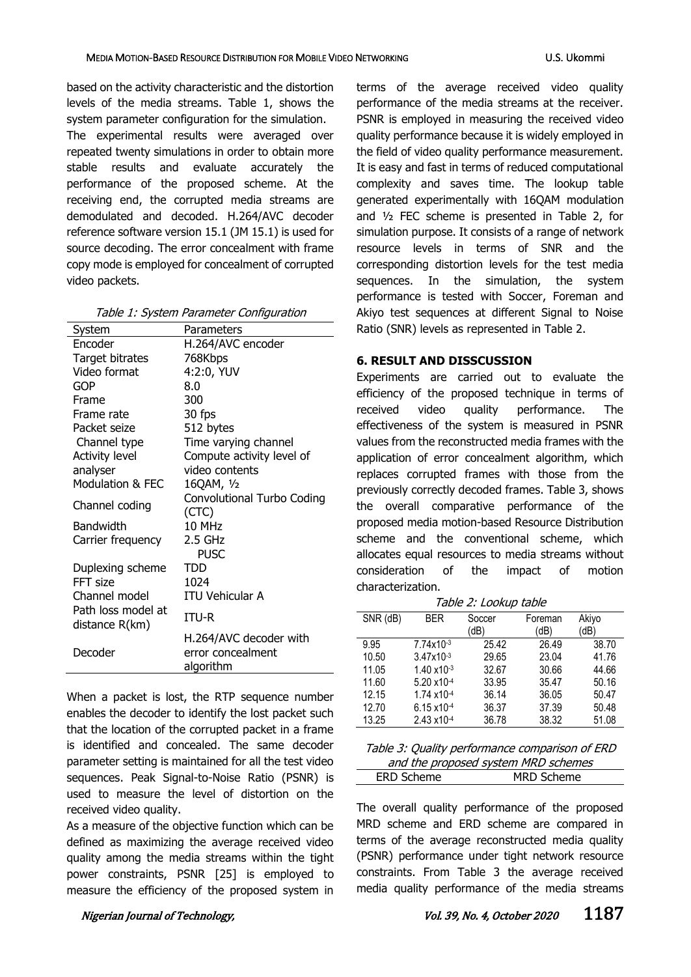based on the activity characteristic and the distortion levels of the media streams. Table 1, shows the system parameter configuration for the simulation. The experimental results were averaged over repeated twenty simulations in order to obtain more stable results and evaluate accurately the performance of the proposed scheme. At the receiving end, the corrupted media streams are demodulated and decoded. H.264/AVC decoder reference software version 15.1 (JM 15.1) is used for source decoding. The error concealment with frame copy mode is employed for concealment of corrupted video packets.

| System                 | Parameters                        |
|------------------------|-----------------------------------|
| Encoder                | H.264/AVC encoder                 |
| <b>Target bitrates</b> | 768Kbps                           |
| Video format           | 4:2:0, YUV                        |
| <b>GOP</b>             | 8.0                               |
| Frame                  | 300                               |
| Frame rate             | 30 fps                            |
| Packet seize           | 512 bytes                         |
| Channel type           | Time varying channel              |
| <b>Activity level</b>  | Compute activity level of         |
| analyser               | video contents                    |
| Modulation & FEC       | 16QAM, 1/2                        |
| Channel coding         | <b>Convolutional Turbo Coding</b> |
|                        | (CTC)                             |
| Bandwidth              | 10 MHz                            |
| Carrier frequency      | 2.5 GHz                           |
|                        | <b>PUSC</b>                       |
| Duplexing scheme       | TDD                               |
| FFT size               | 1024                              |
| Channel model          | <b>ITU Vehicular A</b>            |
| Path loss model at     | ITU-R                             |
| distance R(km)         |                                   |
|                        | H.264/AVC decoder with            |
| Decoder                | error concealment                 |
|                        | algorithm                         |

When a packet is lost, the RTP sequence number enables the decoder to identify the lost packet such that the location of the corrupted packet in a frame is identified and concealed. The same decoder parameter setting is maintained for all the test video sequences. Peak Signal-to-Noise Ratio (PSNR) is used to measure the level of distortion on the received video quality.

As a measure of the objective function which can be defined as maximizing the average received video quality among the media streams within the tight power constraints, PSNR [25] is employed to measure the efficiency of the proposed system in

terms of the average received video quality performance of the media streams at the receiver. PSNR is employed in measuring the received video quality performance because it is widely employed in the field of video quality performance measurement. It is easy and fast in terms of reduced computational complexity and saves time. The lookup table generated experimentally with 16QAM modulation and ½ FEC scheme is presented in Table 2, for simulation purpose. It consists of a range of network resource levels in terms of SNR and the corresponding distortion levels for the test media sequences. In the simulation, the system performance is tested with Soccer, Foreman and Akiyo test sequences at different Signal to Noise Ratio (SNR) levels as represented in Table 2.

## **6. RESULT AND DISSCUSSION**

Experiments are carried out to evaluate the efficiency of the proposed technique in terms of received video quality performance. The effectiveness of the system is measured in PSNR values from the reconstructed media frames with the application of error concealment algorithm, which replaces corrupted frames with those from the previously correctly decoded frames. Table 3, shows the overall comparative performance of the proposed media motion-based Resource Distribution scheme and the conventional scheme, which allocates equal resources to media streams without consideration of the impact of motion characterization.

Table 2: Lookup table

| SNR (dB) | <b>BER</b>            | Soccer | Foreman | Akiyo |
|----------|-----------------------|--------|---------|-------|
|          |                       | (dB)   | (dB)    | (dB)  |
| 9.95     | 7.74x10-3             | 25.42  | 26.49   | 38.70 |
| 10.50    | $3.47x10^{-3}$        | 29.65  | 23.04   | 41.76 |
| 11.05    | $1.40 \times 10^{-3}$ | 32.67  | 30.66   | 44.66 |
| 11.60    | 5.20 x10-4            | 33.95  | 35.47   | 50.16 |
| 12.15    | 1.74 x10-4            | 36.14  | 36.05   | 50.47 |
| 12.70    | 6.15 x10-4            | 36.37  | 37.39   | 50.48 |
| 13.25    | $2.43 \times 10^{-4}$ | 36.78  | 38.32   | 51.08 |

| Table 3: Quality performance comparison of ERD |                   |  |
|------------------------------------------------|-------------------|--|
| and the proposed system MRD schemes            |                   |  |
| <b>ERD Scheme</b>                              | <b>MRD Scheme</b> |  |

The overall quality performance of the proposed MRD scheme and ERD scheme are compared in terms of the average reconstructed media quality (PSNR) performance under tight network resource constraints. From Table 3 the average received media quality performance of the media streams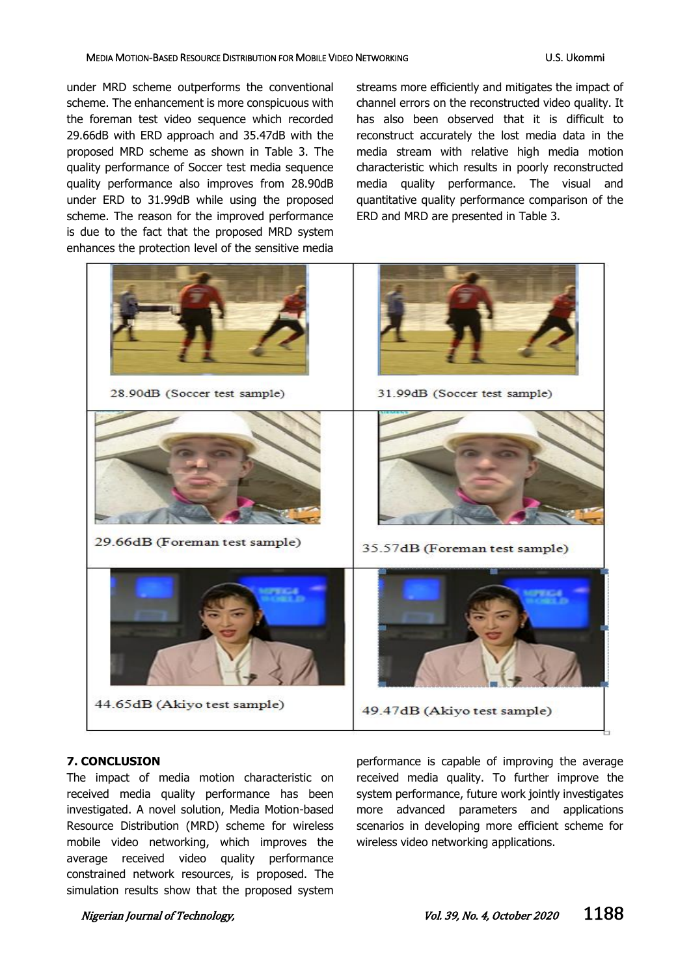#### MEDIA MOTION-BASED RESOURCE DISTRIBUTION FOR MOBILE VIDEO NETWORKING U.S. Ukommi

under MRD scheme outperforms the conventional scheme. The enhancement is more conspicuous with the foreman test video sequence which recorded 29.66dB with ERD approach and 35.47dB with the proposed MRD scheme as shown in Table 3. The quality performance of Soccer test media sequence quality performance also improves from 28.90dB under ERD to 31.99dB while using the proposed scheme. The reason for the improved performance is due to the fact that the proposed MRD system enhances the protection level of the sensitive media

streams more efficiently and mitigates the impact of channel errors on the reconstructed video quality. It has also been observed that it is difficult to reconstruct accurately the lost media data in the media stream with relative high media motion characteristic which results in poorly reconstructed media quality performance. The visual and quantitative quality performance comparison of the ERD and MRD are presented in Table 3.



## **7. CONCLUSION**

The impact of media motion characteristic on received media quality performance has been investigated. A novel solution, Media Motion-based Resource Distribution (MRD) scheme for wireless mobile video networking, which improves the average received video quality performance constrained network resources, is proposed. The simulation results show that the proposed system

performance is capable of improving the average received media quality. To further improve the system performance, future work jointly investigates more advanced parameters and applications scenarios in developing more efficient scheme for wireless video networking applications.